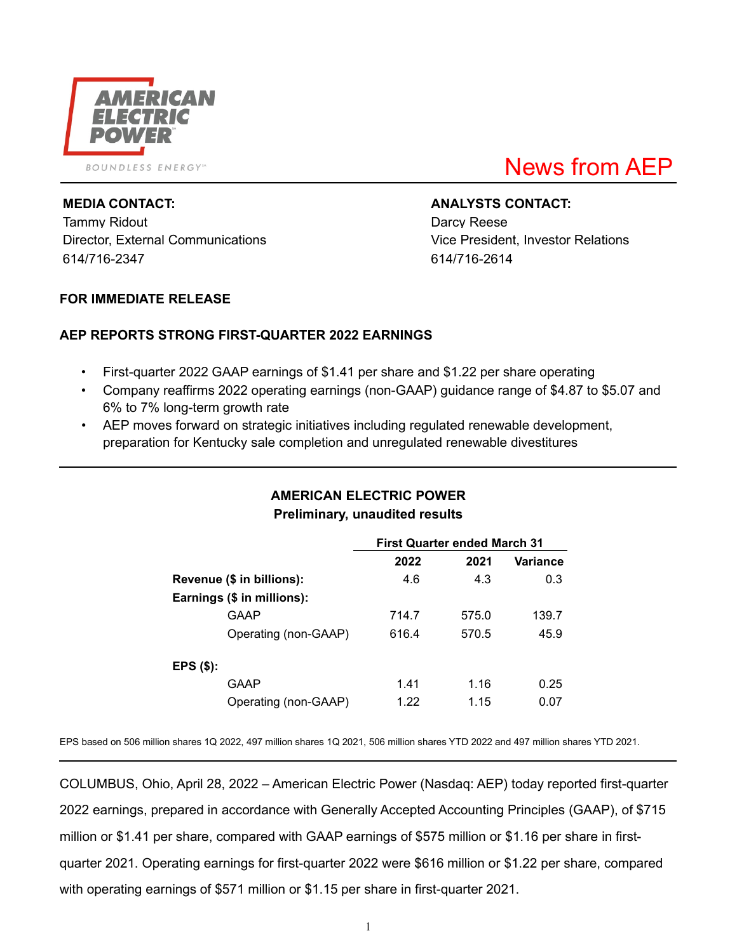

Tammy Ridout **Darcy Reese** Director, External Communications Vice President, Investor Relations 614/716-2347 614/716-2614

# News from AEP

#### **MEDIA CONTACT: ANALYSTS CONTACT:**

#### **FOR IMMEDIATE RELEASE**

### **AEP REPORTS STRONG FIRST-QUARTER 2022 EARNINGS**

- First-quarter 2022 GAAP earnings of \$1.41 per share and \$1.22 per share operating
- Company reaffirms 2022 operating earnings (non-GAAP) guidance range of \$4.87 to \$5.07 and 6% to 7% long-term growth rate
- AEP moves forward on strategic initiatives including regulated renewable development, preparation for Kentucky sale completion and unregulated renewable divestitures

# **AMERICAN ELECTRIC POWER Preliminary, unaudited results**

|                           |                            | <b>First Quarter ended March 31</b> |       |          |  |  |
|---------------------------|----------------------------|-------------------------------------|-------|----------|--|--|
|                           |                            | 2022                                | 2021  | Variance |  |  |
| Revenue (\$ in billions): |                            | 4.6                                 | 4.3   | 0.3      |  |  |
|                           | Earnings (\$ in millions): |                                     |       |          |  |  |
|                           | GAAP                       | 714.7                               | 575.0 | 139.7    |  |  |
|                           | Operating (non-GAAP)       | 616.4                               | 570.5 | 45.9     |  |  |
| EPS (\$):                 |                            |                                     |       |          |  |  |
|                           | GAAP                       | 1.41                                | 1.16  | 0.25     |  |  |
|                           | Operating (non-GAAP)       | 1.22                                | 1.15  | 0.07     |  |  |

EPS based on 506 million shares 1Q 2022, 497 million shares 1Q 2021, 506 million shares YTD 2022 and 497 million shares YTD 2021.

COLUMBUS, Ohio, April 28, 2022 – American Electric Power (Nasdaq: AEP) today reported first-quarter 2022 earnings, prepared in accordance with Generally Accepted Accounting Principles (GAAP), of \$715 million or \$1.41 per share, compared with GAAP earnings of \$575 million or \$1.16 per share in firstquarter 2021. Operating earnings for first-quarter 2022 were \$616 million or \$1.22 per share, compared with operating earnings of \$571 million or \$1.15 per share in first-quarter 2021.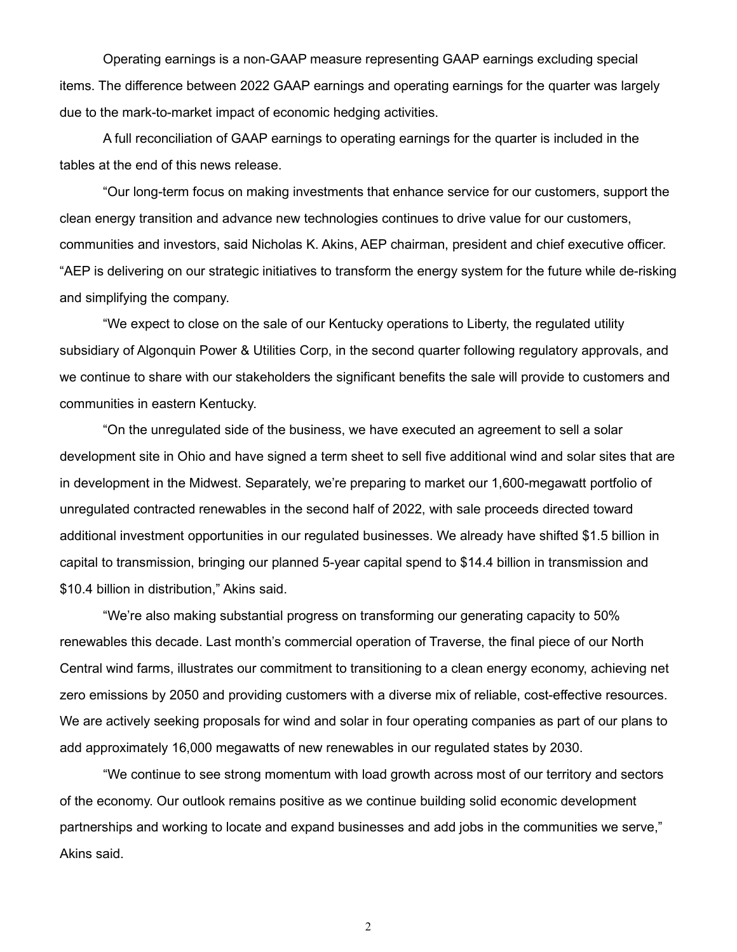Operating earnings is a non-GAAP measure representing GAAP earnings excluding special items. The difference between 2022 GAAP earnings and operating earnings for the quarter was largely due to the mark-to-market impact of economic hedging activities.

A full reconciliation of GAAP earnings to operating earnings for the quarter is included in the tables at the end of this news release.

"Our long-term focus on making investments that enhance service for our customers, support the clean energy transition and advance new technologies continues to drive value for our customers, communities and investors, said Nicholas K. Akins, AEP chairman, president and chief executive officer. "AEP is delivering on our strategic initiatives to transform the energy system for the future while de-risking and simplifying the company.

"We expect to close on the sale of our Kentucky operations to Liberty, the regulated utility subsidiary of Algonquin Power & Utilities Corp, in the second quarter following regulatory approvals, and we continue to share with our stakeholders the significant benefits the sale will provide to customers and communities in eastern Kentucky.

"On the unregulated side of the business, we have executed an agreement to sell a solar development site in Ohio and have signed a term sheet to sell five additional wind and solar sites that are in development in the Midwest. Separately, we're preparing to market our 1,600-megawatt portfolio of unregulated contracted renewables in the second half of 2022, with sale proceeds directed toward additional investment opportunities in our regulated businesses. We already have shifted \$1.5 billion in capital to transmission, bringing our planned 5-year capital spend to \$14.4 billion in transmission and \$10.4 billion in distribution," Akins said.

"We're also making substantial progress on transforming our generating capacity to 50% renewables this decade. Last month's commercial operation of Traverse, the final piece of our North Central wind farms, illustrates our commitment to transitioning to a clean energy economy, achieving net zero emissions by 2050 and providing customers with a diverse mix of reliable, cost-effective resources. We are actively seeking proposals for wind and solar in four operating companies as part of our plans to add approximately 16,000 megawatts of new renewables in our regulated states by 2030.

"We continue to see strong momentum with load growth across most of our territory and sectors of the economy. Our outlook remains positive as we continue building solid economic development partnerships and working to locate and expand businesses and add jobs in the communities we serve," Akins said.

2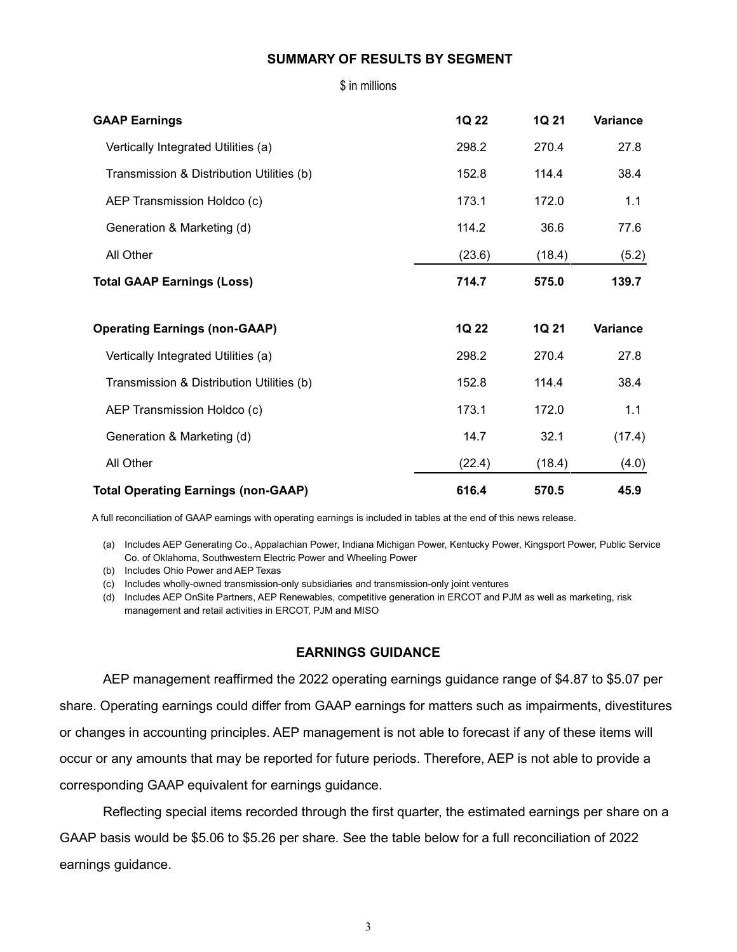#### **SUMMARY OF RESULTS BY SEGMENT**

\$ in millions

| <b>GAAP Earnings</b>                       | 1Q 22  | 1Q 21  | Variance |
|--------------------------------------------|--------|--------|----------|
| Vertically Integrated Utilities (a)        | 298.2  | 270.4  | 27.8     |
| Transmission & Distribution Utilities (b)  | 152.8  | 114.4  | 38.4     |
| AEP Transmission Holdco (c)                | 173.1  | 172.0  | 1.1      |
| Generation & Marketing (d)                 | 114.2  | 36.6   | 77.6     |
| All Other                                  | (23.6) | (18.4) | (5.2)    |
| <b>Total GAAP Earnings (Loss)</b>          | 714.7  | 575.0  | 139.7    |
| <b>Operating Earnings (non-GAAP)</b>       | 1Q 22  | 1Q 21  | Variance |
| Vertically Integrated Utilities (a)        | 298.2  | 270.4  | 27.8     |
| Transmission & Distribution Utilities (b)  | 152.8  | 114.4  | 38.4     |
| AEP Transmission Holdco (c)                | 173.1  | 172.0  | 1.1      |
| Generation & Marketing (d)                 | 14.7   | 32.1   | (17.4)   |
| All Other                                  | (22.4) | (18.4) | (4.0)    |
| <b>Total Operating Earnings (non-GAAP)</b> | 616.4  | 570.5  | 45.9     |

A full reconciliation of GAAP earnings with operating earnings is included in tables at the end of this news release.

(a) Includes AEP Generating Co., Appalachian Power, Indiana Michigan Power, Kentucky Power, Kingsport Power, Public Service Co. of Oklahoma, Southwestern Electric Power and Wheeling Power

(b) Includes Ohio Power and AEP Texas

(c) Includes wholly-owned transmission-only subsidiaries and transmission-only joint ventures

(d) Includes AEP OnSite Partners, AEP Renewables, competitive generation in ERCOT and PJM as well as marketing, risk management and retail activities in ERCOT, PJM and MISO

### **EARNINGS GUIDANCE**

AEP management reaffirmed the 2022 operating earnings guidance range of \$4.87 to \$5.07 per share. Operating earnings could differ from GAAP earnings for matters such as impairments, divestitures or changes in accounting principles. AEP management is not able to forecast if any of these items will occur or any amounts that may be reported for future periods. Therefore, AEP is not able to provide a corresponding GAAP equivalent for earnings guidance.

Reflecting special items recorded through the first quarter, the estimated earnings per share on a GAAP basis would be \$5.06 to \$5.26 per share. See the table below for a full reconciliation of 2022 earnings guidance.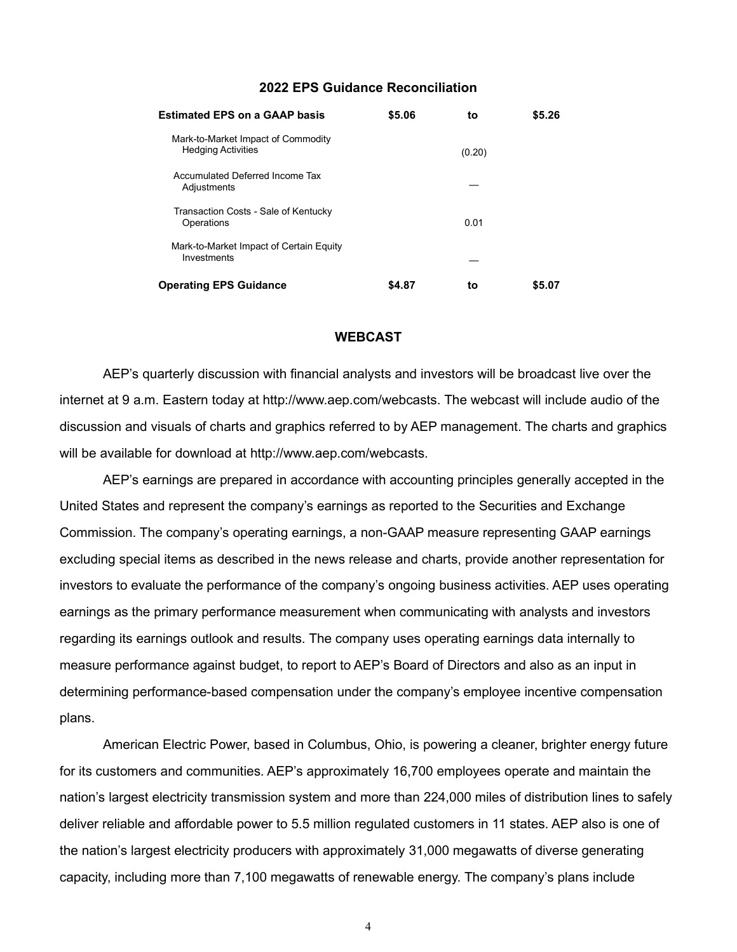#### **2022 EPS Guidance Reconciliation**

| <b>Estimated EPS on a GAAP basis</b>                            | \$5.06 | to     | \$5.26 |
|-----------------------------------------------------------------|--------|--------|--------|
| Mark-to-Market Impact of Commodity<br><b>Hedging Activities</b> |        | (0.20) |        |
| Accumulated Deferred Income Tax<br>Adjustments                  |        |        |        |
| Transaction Costs - Sale of Kentucky<br>Operations              |        | 0.01   |        |
| Mark-to-Market Impact of Certain Equity<br>Investments          |        |        |        |
| <b>Operating EPS Guidance</b>                                   | \$4.87 | to     | \$5.07 |

#### **WEBCAST**

AEP's quarterly discussion with financial analysts and investors will be broadcast live over the internet at 9 a.m. Eastern today at http://www.aep.com/webcasts. The webcast will include audio of the discussion and visuals of charts and graphics referred to by AEP management. The charts and graphics will be available for download at http://www.aep.com/webcasts.

AEP's earnings are prepared in accordance with accounting principles generally accepted in the United States and represent the company's earnings as reported to the Securities and Exchange Commission. The company's operating earnings, a non-GAAP measure representing GAAP earnings excluding special items as described in the news release and charts, provide another representation for investors to evaluate the performance of the company's ongoing business activities. AEP uses operating earnings as the primary performance measurement when communicating with analysts and investors regarding its earnings outlook and results. The company uses operating earnings data internally to measure performance against budget, to report to AEP's Board of Directors and also as an input in determining performance-based compensation under the company's employee incentive compensation plans.

American Electric Power, based in Columbus, Ohio, is powering a cleaner, brighter energy future for its customers and communities. AEP's approximately 16,700 employees operate and maintain the nation's largest electricity transmission system and more than 224,000 miles of distribution lines to safely deliver reliable and affordable power to 5.5 million regulated customers in 11 states. AEP also is one of the nation's largest electricity producers with approximately 31,000 megawatts of diverse generating capacity, including more than 7,100 megawatts of renewable energy. The company's plans include

4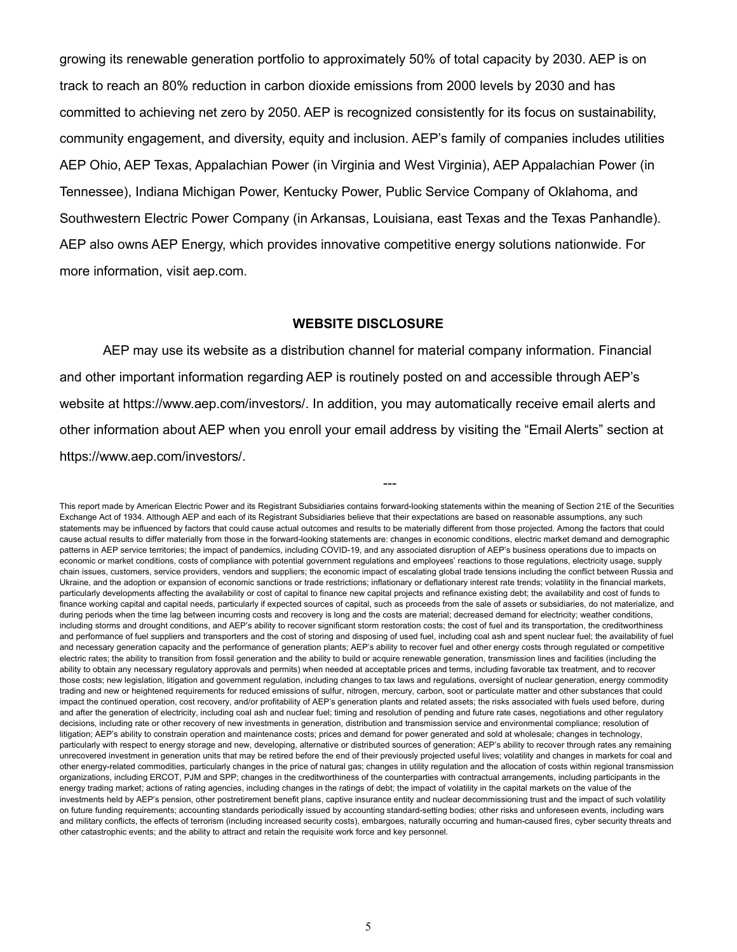growing its renewable generation portfolio to approximately 50% of total capacity by 2030. AEP is on track to reach an 80% reduction in carbon dioxide emissions from 2000 levels by 2030 and has committed to achieving net zero by 2050. AEP is recognized consistently for its focus on sustainability, community engagement, and diversity, equity and inclusion. AEP's family of companies includes utilities AEP Ohio, AEP Texas, Appalachian Power (in Virginia and West Virginia), AEP Appalachian Power (in Tennessee), Indiana Michigan Power, Kentucky Power, Public Service Company of Oklahoma, and Southwestern Electric Power Company (in Arkansas, Louisiana, east Texas and the Texas Panhandle). AEP also owns AEP Energy, which provides innovative competitive energy solutions nationwide. For more information, visit aep.com.

#### **WEBSITE DISCLOSURE**

AEP may use its website as a distribution channel for material company information. Financial and other important information regarding AEP is routinely posted on and accessible through AEP's website at https://www.aep.com/investors/. In addition, you may automatically receive email alerts and other information about AEP when you enroll your email address by visiting the "Email Alerts" section at https://www.aep.com/investors/.

---

This report made by American Electric Power and its Registrant Subsidiaries contains forward-looking statements within the meaning of Section 21E of the Securities Exchange Act of 1934. Although AEP and each of its Registrant Subsidiaries believe that their expectations are based on reasonable assumptions, any such statements may be influenced by factors that could cause actual outcomes and results to be materially different from those projected. Among the factors that could cause actual results to differ materially from those in the forward-looking statements are: changes in economic conditions, electric market demand and demographic patterns in AEP service territories; the impact of pandemics, including COVID-19, and any associated disruption of AEP's business operations due to impacts on economic or market conditions, costs of compliance with potential government regulations and employees' reactions to those regulations, electricity usage, supply chain issues, customers, service providers, vendors and suppliers; the economic impact of escalating global trade tensions including the conflict between Russia and Ukraine, and the adoption or expansion of economic sanctions or trade restrictions; inflationary or deflationary interest rate trends; volatility in the financial markets, particularly developments affecting the availability or cost of capital to finance new capital projects and refinance existing debt; the availability and cost of funds to finance working capital and capital needs, particularly if expected sources of capital, such as proceeds from the sale of assets or subsidiaries, do not materialize, and during periods when the time lag between incurring costs and recovery is long and the costs are material; decreased demand for electricity; weather conditions, including storms and drought conditions, and AEP's ability to recover significant storm restoration costs; the cost of fuel and its transportation, the creditworthiness and performance of fuel suppliers and transporters and the cost of storing and disposing of used fuel, including coal ash and spent nuclear fuel; the availability of fuel and necessary generation capacity and the performance of generation plants; AEP's ability to recover fuel and other energy costs through regulated or competitive electric rates; the ability to transition from fossil generation and the ability to build or acquire renewable generation, transmission lines and facilities (including the ability to obtain any necessary regulatory approvals and permits) when needed at acceptable prices and terms, including favorable tax treatment, and to recover those costs; new legislation, litigation and government regulation, including changes to tax laws and regulations, oversight of nuclear generation, energy commodity trading and new or heightened requirements for reduced emissions of sulfur, nitrogen, mercury, carbon, soot or particulate matter and other substances that could impact the continued operation, cost recovery, and/or profitability of AEP's generation plants and related assets; the risks associated with fuels used before, during and after the generation of electricity, including coal ash and nuclear fuel; timing and resolution of pending and future rate cases, negotiations and other regulatory decisions, including rate or other recovery of new investments in generation, distribution and transmission service and environmental compliance; resolution of litigation; AEP's ability to constrain operation and maintenance costs; prices and demand for power generated and sold at wholesale; changes in technology, particularly with respect to energy storage and new, developing, alternative or distributed sources of generation; AEP's ability to recover through rates any remaining unrecovered investment in generation units that may be retired before the end of their previously projected useful lives; volatility and changes in markets for coal and other energy-related commodities, particularly changes in the price of natural gas; changes in utility regulation and the allocation of costs within regional transmission organizations, including ERCOT, PJM and SPP; changes in the creditworthiness of the counterparties with contractual arrangements, including participants in the energy trading market; actions of rating agencies, including changes in the ratings of debt; the impact of volatility in the capital markets on the value of the investments held by AEP's pension, other postretirement benefit plans, captive insurance entity and nuclear decommissioning trust and the impact of such volatility on future funding requirements; accounting standards periodically issued by accounting standard-setting bodies; other risks and unforeseen events, including wars and military conflicts, the effects of terrorism (including increased security costs), embargoes, naturally occurring and human-caused fires, cyber security threats and other catastrophic events; and the ability to attract and retain the requisite work force and key personnel.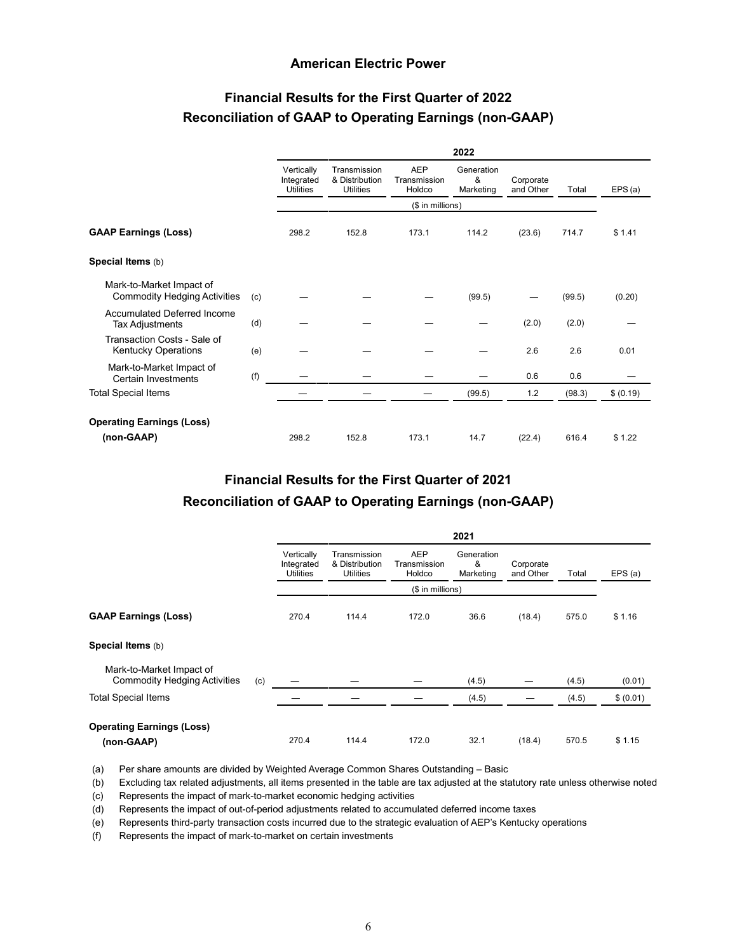#### **American Electric Power**

## **Financial Results for the First Quarter of 2022 Reconciliation of GAAP to Operating Earnings (non-GAAP)**

|                                                                 |     | 2022                                         |                                                    |                                      |                              |                        |        |           |
|-----------------------------------------------------------------|-----|----------------------------------------------|----------------------------------------------------|--------------------------------------|------------------------------|------------------------|--------|-----------|
|                                                                 |     | Vertically<br>Integrated<br><b>Utilities</b> | Transmission<br>& Distribution<br><b>Utilities</b> | <b>AEP</b><br>Transmission<br>Holdco | Generation<br>&<br>Marketing | Corporate<br>and Other | Total  | EPS(a)    |
|                                                                 |     |                                              | (\$ in millions)                                   |                                      |                              |                        |        |           |
| <b>GAAP Earnings (Loss)</b>                                     |     | 298.2                                        | 152.8                                              | 173.1                                | 114.2                        | (23.6)                 | 714.7  | \$1.41    |
| Special Items (b)                                               |     |                                              |                                                    |                                      |                              |                        |        |           |
| Mark-to-Market Impact of<br><b>Commodity Hedging Activities</b> | (c) |                                              |                                                    |                                      | (99.5)                       |                        | (99.5) | (0.20)    |
| <b>Accumulated Deferred Income</b><br><b>Tax Adjustments</b>    | (d) |                                              |                                                    |                                      |                              | (2.0)                  | (2.0)  |           |
| Transaction Costs - Sale of<br>Kentucky Operations              | (e) |                                              |                                                    |                                      |                              | 2.6                    | 2.6    | 0.01      |
| Mark-to-Market Impact of<br>Certain Investments                 | (f) |                                              |                                                    |                                      |                              | 0.6                    | 0.6    |           |
| <b>Total Special Items</b>                                      |     |                                              |                                                    |                                      | (99.5)                       | 1.2                    | (98.3) | \$ (0.19) |
| <b>Operating Earnings (Loss)</b><br>(non-GAAP)                  |     | 298.2                                        | 152.8                                              | 173.1                                | 14.7                         | (22.4)                 | 616.4  | \$1.22    |

#### **Financial Results for the First Quarter of 2021**

#### **Reconciliation of GAAP to Operating Earnings (non-GAAP)**

|                                                                 |     | 2021                                         |                                                    |                                      |                              |                        |       |           |
|-----------------------------------------------------------------|-----|----------------------------------------------|----------------------------------------------------|--------------------------------------|------------------------------|------------------------|-------|-----------|
|                                                                 |     | Vertically<br>Integrated<br><b>Utilities</b> | Transmission<br>& Distribution<br><b>Utilities</b> | <b>AEP</b><br>Transmission<br>Holdco | Generation<br>&<br>Marketing | Corporate<br>and Other | Total | EPS(a)    |
|                                                                 |     | (\$ in millions)                             |                                                    |                                      |                              |                        |       |           |
| <b>GAAP Earnings (Loss)</b>                                     |     | 270.4                                        | 114.4                                              | 172.0                                | 36.6                         | (18.4)                 | 575.0 | \$1.16    |
| Special Items (b)                                               |     |                                              |                                                    |                                      |                              |                        |       |           |
| Mark-to-Market Impact of<br><b>Commodity Hedging Activities</b> | (c) |                                              |                                                    |                                      | (4.5)                        |                        | (4.5) | (0.01)    |
| <b>Total Special Items</b>                                      |     |                                              |                                                    |                                      | (4.5)                        |                        | (4.5) | \$ (0.01) |
| <b>Operating Earnings (Loss)</b><br>(non-GAAP)                  |     | 270.4                                        | 114.4                                              | 172.0                                | 32.1                         | (18.4)                 | 570.5 | \$1.15    |

(a) Per share amounts are divided by Weighted Average Common Shares Outstanding – Basic

(b) Excluding tax related adjustments, all items presented in the table are tax adjusted at the statutory rate unless otherwise noted

(c) Represents the impact of mark-to-market economic hedging activities

(d) Represents the impact of out-of-period adjustments related to accumulated deferred income taxes

(e) Represents third-party transaction costs incurred due to the strategic evaluation of AEP's Kentucky operations

(f) Represents the impact of mark-to-market on certain investments